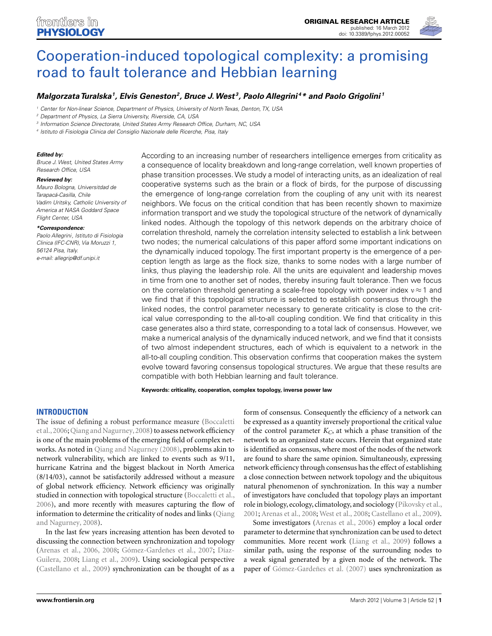

# Cooperation-induced topological complexity: a promising road to fault tolerance and Hebbian learning

# *Malgorzata Turalska1, Elvis Geneston2, Bruce J.West 3, Paolo Allegrini 4\* and Paolo Grigolini <sup>1</sup>*

Center for Non-linear Science, Department of Physics, University of North Texas, Denton, TX, USA

<sup>2</sup> Department of Physics, La Sierra University, Riverside, CA, USA

<sup>3</sup> Information Science Directorate, United States Army Research Office, Durham, NC, USA

<sup>4</sup> Istituto di Fisiologia Clinica del Consiglio Nazionale delle Ricerche, Pisa, Italy

#### *Edited by:*

Bruce J. West, United States Army Research Office, USA

#### *Reviewed by:*

Mauro Bologna, Universitdad de Tarapacá-Casilla, Chile Vadim Uritsky, Catholic University of America at NASA Goddard Space Flight Center, USA

#### *\*Correspondence:*

Paolo Allegrini, Istituto di Fisiologia Clinica (IFC-CNR), Via Moruzzi 1, 56124 Pisa, Italy. e-mail: allegrip@df.unipi.it

According to an increasing number of researchers intelligence emerges from criticality as a consequence of locality breakdown and long-range correlation, well known properties of phase transition processes.We study a model of interacting units, as an idealization of real cooperative systems such as the brain or a flock of birds, for the purpose of discussing the emergence of long-range correlation from the coupling of any unit with its nearest neighbors. We focus on the critical condition that has been recently shown to maximize information transport and we study the topological structure of the network of dynamically linked nodes. Although the topology of this network depends on the arbitrary choice of correlation threshold, namely the correlation intensity selected to establish a link between two nodes; the numerical calculations of this paper afford some important indications on the dynamically induced topology. The first important property is the emergence of a perception length as large as the flock size, thanks to some nodes with a large number of links, thus playing the leadership role. All the units are equivalent and leadership moves in time from one to another set of nodes, thereby insuring fault tolerance. Then we focus on the correlation threshold generating a scale-free topology with power index  $v \approx 1$  and we find that if this topological structure is selected to establish consensus through the linked nodes, the control parameter necessary to generate criticality is close to the critical value corresponding to the all-to-all coupling condition. We find that criticality in this case generates also a third state, corresponding to a total lack of consensus. However, we make a numerical analysis of the dynamically induced network, and we find that it consists of two almost independent structures, each of which is equivalent to a network in the all-to-all coupling condition. This observation confirms that cooperation makes the system evolve toward favoring consensus topological structures. We argue that these results are compatible with both Hebbian learning and fault tolerance.

**Keywords: criticality, cooperation, complex topology, inverse power law**

# **INTRODUCTION**

The issue of defining a robust performance measure (Boccaletti et al., 2006; Qiang and Nagurney, 2008) to assess network efficiency is one of the main problems of the emerging field of complex networks. As noted in Qiang and Nagurney (2008), problems akin to network vulnerability, which are linked to events such as 9/11, hurricane Katrina and the biggest blackout in North America (8/14/03), cannot be satisfactorily addressed without a measure of global network efficiency. Network efficiency was originally studied in connection with topological structure (Boccaletti et al., 2006), and more recently with measures capturing the flow of information to determine the criticality of nodes and links (Qiang and Nagurney, 2008).

In the last few years increasing attention has been devoted to discussing the connection between synchronization and topology (Arenas et al., 2006, 2008; Gómez-Gardeñes et al., 2007; Díaz-Guilera, 2008; Liang et al., 2009). Using sociological perspective (Castellano et al., 2009) synchronization can be thought of as a

form of consensus. Consequently the efficiency of a network can be expressed as a quantity inversely proportional the critical value of the control parameter  $K_C$ , at which a phase transition of the network to an organized state occurs. Herein that organized state is identified as consensus, where most of the nodes of the network are found to share the same opinion. Simultaneously, expressing network efficiency through consensus has the effect of establishing a close connection between network topology and the ubiquitous natural phenomenon of synchronization. In this way a number of investigators have concluded that topology plays an important role in biology, ecology, climatology, and sociology (Pikovsky et al., 2001; Arenas et al., 2008; West et al., 2008; Castellano et al., 2009).

Some investigators (Arenas et al., 2006) employ a local order parameter to determine that synchronization can be used to detect communities. More recent work (Liang et al., 2009) follows a similar path, using the response of the surrounding nodes to a weak signal generated by a given node of the network. The paper of Gómez-Gardeñes et al. (2007) uses synchronization as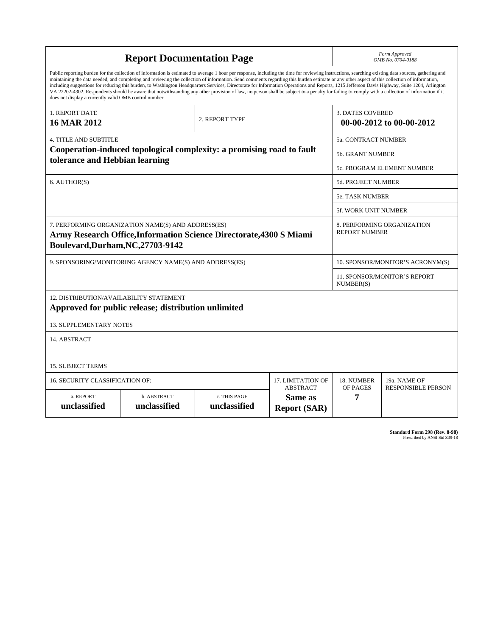| <b>Report Documentation Page</b>                                                                                                                                                                                                                                                                                                                                                                                                                                                                                                                                                                                                                                                                                                                                                                                                                                   |                             |                              |                                                   | Form Approved<br>OMB No. 0704-0188                  |                           |
|--------------------------------------------------------------------------------------------------------------------------------------------------------------------------------------------------------------------------------------------------------------------------------------------------------------------------------------------------------------------------------------------------------------------------------------------------------------------------------------------------------------------------------------------------------------------------------------------------------------------------------------------------------------------------------------------------------------------------------------------------------------------------------------------------------------------------------------------------------------------|-----------------------------|------------------------------|---------------------------------------------------|-----------------------------------------------------|---------------------------|
| Public reporting burden for the collection of information is estimated to average 1 hour per response, including the time for reviewing instructions, searching existing data sources, gathering and<br>maintaining the data needed, and completing and reviewing the collection of information. Send comments regarding this burden estimate or any other aspect of this collection of information,<br>including suggestions for reducing this burden, to Washington Headquarters Services, Directorate for Information Operations and Reports, 1215 Jefferson Davis Highway, Suite 1204, Arlington<br>VA 22202-4302. Respondents should be aware that notwithstanding any other provision of law, no person shall be subject to a penalty for failing to comply with a collection of information if it<br>does not display a currently valid OMB control number. |                             |                              |                                                   |                                                     |                           |
| 1. REPORT DATE<br><b>16 MAR 2012</b>                                                                                                                                                                                                                                                                                                                                                                                                                                                                                                                                                                                                                                                                                                                                                                                                                               |                             | 2. REPORT TYPE               |                                                   | <b>3. DATES COVERED</b><br>00-00-2012 to 00-00-2012 |                           |
| <b>4. TITLE AND SUBTITLE</b>                                                                                                                                                                                                                                                                                                                                                                                                                                                                                                                                                                                                                                                                                                                                                                                                                                       |                             |                              |                                                   | 5a. CONTRACT NUMBER                                 |                           |
| Cooperation-induced topological complexity: a promising road to fault<br>tolerance and Hebbian learning                                                                                                                                                                                                                                                                                                                                                                                                                                                                                                                                                                                                                                                                                                                                                            |                             |                              |                                                   | <b>5b. GRANT NUMBER</b>                             |                           |
|                                                                                                                                                                                                                                                                                                                                                                                                                                                                                                                                                                                                                                                                                                                                                                                                                                                                    |                             |                              |                                                   | 5c. PROGRAM ELEMENT NUMBER                          |                           |
| 6. AUTHOR(S)                                                                                                                                                                                                                                                                                                                                                                                                                                                                                                                                                                                                                                                                                                                                                                                                                                                       |                             |                              |                                                   | 5d. PROJECT NUMBER                                  |                           |
|                                                                                                                                                                                                                                                                                                                                                                                                                                                                                                                                                                                                                                                                                                                                                                                                                                                                    |                             |                              |                                                   | <b>5e. TASK NUMBER</b>                              |                           |
|                                                                                                                                                                                                                                                                                                                                                                                                                                                                                                                                                                                                                                                                                                                                                                                                                                                                    |                             |                              |                                                   | 5f. WORK UNIT NUMBER                                |                           |
| 7. PERFORMING ORGANIZATION NAME(S) AND ADDRESS(ES)<br>Army Research Office, Information Science Directorate, 4300 S Miami<br>Boulevard, Durham, NC, 27703-9142                                                                                                                                                                                                                                                                                                                                                                                                                                                                                                                                                                                                                                                                                                     |                             |                              |                                                   | 8. PERFORMING ORGANIZATION<br><b>REPORT NUMBER</b>  |                           |
| 9. SPONSORING/MONITORING AGENCY NAME(S) AND ADDRESS(ES)                                                                                                                                                                                                                                                                                                                                                                                                                                                                                                                                                                                                                                                                                                                                                                                                            |                             |                              |                                                   | 10. SPONSOR/MONITOR'S ACRONYM(S)                    |                           |
|                                                                                                                                                                                                                                                                                                                                                                                                                                                                                                                                                                                                                                                                                                                                                                                                                                                                    |                             |                              |                                                   | 11. SPONSOR/MONITOR'S REPORT<br>NUMBER(S)           |                           |
| 12. DISTRIBUTION/AVAILABILITY STATEMENT<br>Approved for public release; distribution unlimited                                                                                                                                                                                                                                                                                                                                                                                                                                                                                                                                                                                                                                                                                                                                                                     |                             |                              |                                                   |                                                     |                           |
| <b>13. SUPPLEMENTARY NOTES</b>                                                                                                                                                                                                                                                                                                                                                                                                                                                                                                                                                                                                                                                                                                                                                                                                                                     |                             |                              |                                                   |                                                     |                           |
| 14. ABSTRACT                                                                                                                                                                                                                                                                                                                                                                                                                                                                                                                                                                                                                                                                                                                                                                                                                                                       |                             |                              |                                                   |                                                     |                           |
| <b>15. SUBJECT TERMS</b>                                                                                                                                                                                                                                                                                                                                                                                                                                                                                                                                                                                                                                                                                                                                                                                                                                           |                             |                              |                                                   |                                                     |                           |
| 16. SECURITY CLASSIFICATION OF:<br>17. LIMITATION OF                                                                                                                                                                                                                                                                                                                                                                                                                                                                                                                                                                                                                                                                                                                                                                                                               |                             |                              |                                                   | 18. NUMBER                                          | 19a. NAME OF              |
| a. REPORT<br>unclassified                                                                                                                                                                                                                                                                                                                                                                                                                                                                                                                                                                                                                                                                                                                                                                                                                                          | b. ABSTRACT<br>unclassified | c. THIS PAGE<br>unclassified | <b>ABSTRACT</b><br>Same as<br><b>Report (SAR)</b> | OF PAGES<br>7                                       | <b>RESPONSIBLE PERSON</b> |

**Standard Form 298 (Rev. 8-98)**<br>Prescribed by ANSI Std Z39-18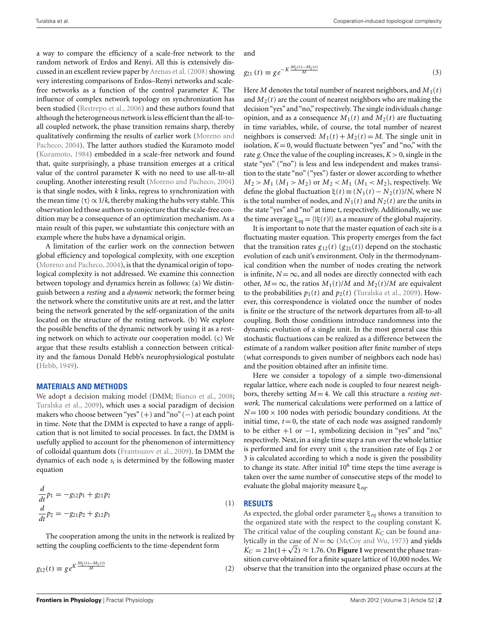a way to compare the efficiency of a scale-free network to the random network of Erdos and Renyi. All this is extensively discussed in an excellent review paper by Arenas et al. (2008) showing very interesting comparisons of Erdos–Renyi networks and scalefree networks as a function of the control parameter *K*. The influence of complex network topology on synchronization has been studied (Restrepo et al., 2006) and these authors found that although the heterogeneous network is less efficient than the all-toall coupled network, the phase transition remains sharp, thereby qualitatively confirming the results of earlier work (Moreno and Pacheco, 2004). The latter authors studied the Kuramoto model (Kuramoto, 1984) embedded in a scale-free network and found that, quite surprisingly, a phase transition emerges at a critical value of the control parameter K with no need to use all-to-all coupling. Another interesting result (Moreno and Pacheco, 2004) is that single nodes, with *k* links, regress to synchronization with the mean time  $\langle \tau \rangle \propto 1/k$ , thereby making the hubs very stable. This observation led those authors to conjecture that the scale-free condition may be a consequence of an optimization mechanism. As a main result of this paper, we substantiate this conjecture with an example where the hubs have a dynamical origin.

A limitation of the earlier work on the connection between global efficiency and topological complexity, with one exception (Moreno and Pacheco, 2004), is that the dynamical origin of topological complexity is not addressed. We examine this connection between topology and dynamics herein as follows: (a) We distinguish between a *resting* and a *dynamic* network; the former being the network where the constitutive units are at rest, and the latter being the network generated by the self-organization of the units located on the structure of the resting network. (b) We explore the possible benefits of the dynamic network by using it as a resting network on which to activate our cooperation model. (c) We argue that these results establish a connection between criticality and the famous Donald Hebb's neurophysiological postulate (Hebb, 1949).

#### **MATERIALS AND METHODS**

We adopt a decision making model (DMM; Bianco et al., 2008; Turalska et al., 2009), which uses a social paradigm of decision makers who choose between "yes" (+) and "no" (−) at each point in time. Note that the DMM is expected to have a range of application that is not limited to social processes. In fact, the DMM is usefully applied to account for the phenomenon of intermittency of colloidal quantum dots (Frantsuzov et al., 2009). In DMM the dynamics of each node *si* is determined by the following master equation

$$
\frac{d}{dt}p_1 = -g_{12}p_1 + g_{21}p_2
$$
\n
$$
\frac{d}{dt}p_2 = -g_{21}p_2 + g_{12}p_1
$$
\n(1)

The cooperation among the units in the network is realized by setting the coupling coefficients to the time-dependent form

$$
g_{12}(t) \equiv g e^{K \frac{M_2(t) - M_1(t)}{M}}
$$
 (2)

and

$$
g_{21}(t) \equiv g e^{-K \frac{M_2(t) - M_1(t)}{M}}
$$
\n(3)

Here *M* denotes the total number of nearest neighbors, and  $M_1(t)$ and  $M_2(t)$  are the count of nearest neighbors who are making the decision "yes" and "no," respectively. The single individuals change opinion, and as a consequence  $M_1(t)$  and  $M_2(t)$  are fluctuating in time variables, while, of course, the total number of nearest neighbors is conserved:  $M_1(t) + M_2(t) = M$ . The single unit in isolation,  $K = 0$ , would fluctuate between "yes" and "no," with the rate *g*. Once the value of the coupling increases,  $K > 0$ , single in the state "yes" ("no") is less and less independent and makes transition to the state "no" ("yes") faster or slower according to whether  $M_2 > M_1$  ( $M_1 > M_2$ ) or  $M_2 < M_1$  ( $M_1 < M_2$ ), respectively. We define the global fluctuation  $\xi(t) \equiv (N_1(t) - N_2(t))/N$ , where N is the total number of nodes, and  $N_1(t)$  and  $N_2(t)$  are the units in the state "yes" and "no" at time t, respectively. Additionally, we use the time average  $\xi_{eq} = \langle |\xi(t)| \rangle$  as a measure of the global majority.

It is important to note that the master equation of each site is a fluctuating master equation. This property emerges from the fact that the transition rates  $g_{12}(t)$  ( $g_{21}(t)$ ) depend on the stochastic evolution of each unit's environment. Only in the thermodynamical condition when the number of nodes creating the network is infinite,  $N = \infty$ , and all nodes are directly connected with each other,  $M = \infty$ , the ratios  $M_1(t)/M$  and  $M_2(t)/M$  are equivalent to the probabilities  $p_1(t)$  and  $p_2(t)$  (Turalska et al., 2009). However, this correspondence is violated once the number of nodes is finite or the structure of the network departures from all-to-all coupling. Both those conditions introduce randomness into the dynamic evolution of a single unit. In the most general case this stochastic fluctuations can be realized as a difference between the estimate of a random walker position after finite number of steps (what corresponds to given number of neighbors each node has) and the position obtained after an infinite time.

Here we consider a topology of a simple two-dimensional regular lattice, where each node is coupled to four nearest neighbors, thereby setting *M* = 4. We call this structure a *resting network*. The numerical calculations were performed on a lattice of  $N = 100 \times 100$  nodes with periodic boundary conditions. At the initial time,  $t = 0$ , the state of each node was assigned randomly to be either  $+1$  or  $-1$ , symbolizing decision in "yes" and "no," respectively. Next, in a single time step a run over the whole lattice is performed and for every unit *si* the transition rate of Eqs 2 or 3 is calculated according to which a node is given the possibility to change its state. After initial  $10<sup>6</sup>$  time steps the time average is taken over the same number of consecutive steps of the model to evaluate the global majority measure ξ*eq*.

# **RESULTS**

As expected, the global order parameter ξ*eq* shows a transition to the organized state with the respect to the coupling constant K. The critical value of the coupling constant  $K_C$  can be found analytically in the case of  $N = \infty$  (McCoy and Wu, 1973) and yields  $K_C = 2 \ln(1+\sqrt{2}) \approx 1.76$ . On **Figure 1** we present the phase transition curve obtained for a finite square lattice of 10,000 nodes. We observe that the transition into the organized phase occurs at the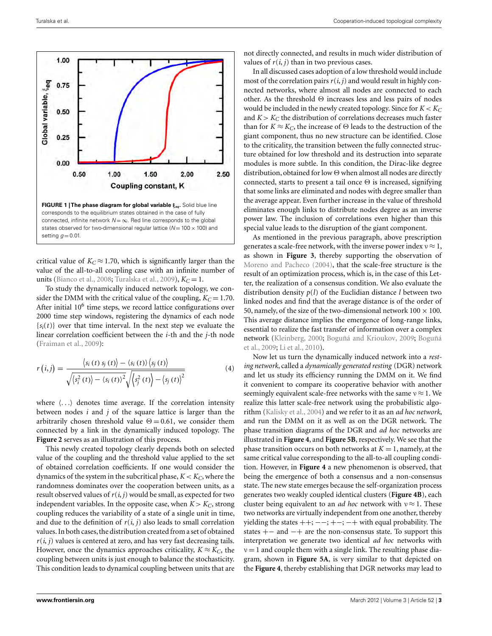

critical value of  $K_C \approx 1.70$ , which is significantly larger than the value of the all-to-all coupling case with an infinite number of units (Bianco et al., 2008; Turalska et al., 2009),  $K_C = 1$ .

To study the dynamically induced network topology, we consider the DMM with the critical value of the coupling,  $K_C = 1.70$ . After initial  $10<sup>6</sup>$  time steps, we record lattice configurations over 2000 time step windows, registering the dynamics of each node  ${s_i(t)}$  over that time interval. In the next step we evaluate the linear correlation coefficient between the *i*-th and the *j*-th node (Fraiman et al., 2009):

$$
r(i,j) = \frac{\langle s_i(t) s_j(t) \rangle - \langle s_i(t) \rangle \langle s_j(t) \rangle}{\sqrt{\langle s_i^2(t) \rangle - \langle s_i(t) \rangle^2} \sqrt{\langle s_j^2(t) \rangle - \langle s_j(t) \rangle^2}}
$$
(4)

where  $\langle \ldots \rangle$  denotes time average. If the correlation intensity between nodes *i* and *j* of the square lattice is larger than the arbitrarily chosen threshold value  $\Theta = 0.61$ , we consider them connected by a link in the dynamically induced topology. The **Figure 2** serves as an illustration of this process.

This newly created topology clearly depends both on selected value of the coupling and the threshold value applied to the set of obtained correlation coefficients. If one would consider the dynamics of the system in the subcritical phase,  $K < K_C$ , where the randomness dominates over the cooperation between units, as a result observed values of  $r(i, j)$  would be small, as expected for two independent variables. In the opposite case, when  $K > K_C$ , strong coupling reduces the variability of a state of a single unit in time, and due to the definition of  $r(i, j)$  also leads to small correlation values. In both cases, the distribution created from a set of obtained  $r(i, j)$  values is centered at zero, and has very fast decreasing tails. However, once the dynamics approaches criticality,  $K \approx K_C$ , the coupling between units is just enough to balance the stochasticity. This condition leads to dynamical coupling between units that are

not directly connected, and results in much wider distribution of values of  $r(i, j)$  than in two previous cases.

In all discussed cases adoption of a low threshold would include most of the correlation pairs  $r(i, j)$  and would result in highly connected networks, where almost all nodes are connected to each other. As the threshold Θ increases less and less pairs of nodes would be included in the newly created topology. Since for  $K < K_C$ and  $K > K_C$  the distribution of correlations decreases much faster than for  $K \approx K_C$ , the increase of  $\Theta$  leads to the destruction of the giant component, thus no new structure can be identified. Close to the criticality, the transition between the fully connected structure obtained for low threshold and its destruction into separate modules is more subtle. In this condition, the Dirac-like degree distribution, obtained for low Θ when almost all nodes are directly connected, starts to present a tail once  $\Theta$  is increased, signifying that some links are eliminated and nodes with degree smaller than the average appear. Even further increase in the value of threshold eliminates enough links to distribute nodes degree as an inverse power law. The inclusion of correlations even higher than this special value leads to the disruption of the giant component.

As mentioned in the previous paragraph, above prescription generates a scale-free network, with the inverse power index  $v \approx 1$ , as shown in **Figure 3**, thereby supporting the observation of Moreno and Pacheco (2004), that the scale-free structure is the result of an optimization process, which is, in the case of this Letter, the realization of a consensus condition. We also evaluate the distribution density *p*(*l*) of the Euclidian distance *l* between two linked nodes and find that the average distance is of the order of 50, namely, of the size of the two-dimensional network  $100 \times 100$ . This average distance implies the emergence of long-range links, essential to realize the fast transfer of information over a complex network (Kleinberg, 2000; Boguñá and Krioukov, 2009; Boguñá et al., 2009; Li et al., 2010).

Now let us turn the dynamically induced network into a *resting network*, called a *dynamically generated resting* (DGR) network and let us study its efficiency running the DMM on it. We find it convenient to compare its cooperative behavior with another seemingly equivalent scale-free networks with the same  $v \approx 1$ . We realize this latter scale-free network using the probabilistic algorithm (Kalisky et al., 2004) and we refer to it as an *ad hoc network*, and run the DMM on it as well as on the DGR network. The phase transition diagrams of the DGR and *ad hoc* networks are illustrated in **Figure 4**, and **Figure 5B**, respectively. We see that the phase transition occurs on both networks at  $K = 1$ , namely, at the same critical value corresponding to the all-to-all coupling condition. However, in **Figure 4** a new phenomenon is observed, that being the emergence of both a consensus and a non-consensus state. The new state emerges because the self-organization process generates two weakly coupled identical clusters (**Figure 4B**), each cluster being equivalent to an *ad hoc* network with  $v \approx 1$ . These two networks are virtually independent from one another, thereby yielding the states  $++; ---; +-+$  with equal probability. The states +− and −+ are the non-consensus state. To support this interpretation we generate two identical *ad hoc* networks with  $v = 1$  and couple them with a single link. The resulting phase diagram, shown in **Figure 5A**, is very similar to that depicted on the **Figure 4**, thereby establishing that DGR networks may lead to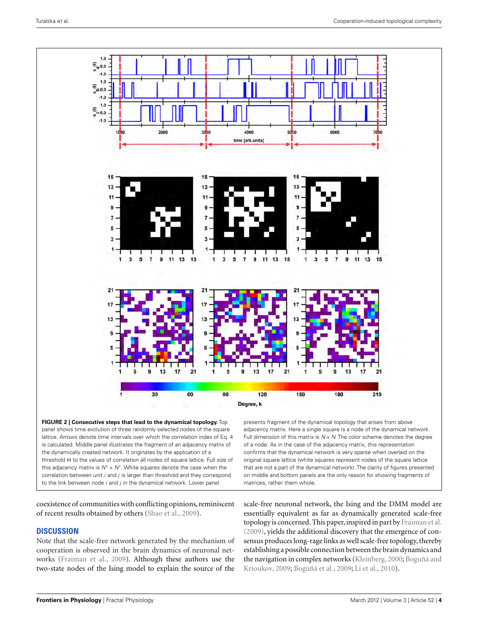

**FIGURE 2 | Consecutive steps that lead to the dynamical topology.** Top panel shows time evolution of three randomly selected nodes of the square lattice. Arrows denote time intervals over which the correlation index of Eq. 4 is calculated. Middle panel illustrates the fragment of an adjacency matrix of the dynamically created network. It originates by the application of a threshold Θ to the values of correlation all nodes of square lattice. Full size of this adjacency matrix is  $N^2 \times N^2$ . White squares denote the case when the correlation between unit  $i$  and  $j$  is larger than threshold and they correspond to the link between node  $i$  and  $j$  in the dynamical network. Lower panel

presents fragment of the dynamical topology that arises from above adjacency matrix. Here a single square is a node of the dynamical network. Full dimension of this matrix is  $N \times N$ . The color scheme denotes the degree of a node. As in the case of the adjacency matrix, this representation confirms that the dynamical network is very sparse when overlaid on the original square lattice (white squares represent nodes of the square lattice that are not a part of the dynamical network). The clarity of figures presented on middle and bottom panels are the only reason for showing fragments of matrices, rather them whole.

coexistence of communities with conflicting opinions, reminiscent of recent results obtained by others (Shao et al., 2009).

# **DISCUSSION**

Note that the scale-free network generated by the mechanism of cooperation is observed in the brain dynamics of neuronal networks (Fraiman et al., 2009). Although these authors use the two-state nodes of the Ising model to explain the source of the

scale-free neuronal network, the Ising and the DMM model are essentially equivalent as far as dynamically generated scale-free topology is concerned. This paper, inspired in part by Fraiman et al. (2009), yields the additional discovery that the emergence of consensus produces long-rage links as well scale-free topology, thereby establishing a possible connection between the brain dynamics and the navigation in complex networks (Kleinberg, 2000; Boguñá and Krioukov, 2009; Boguñá et al., 2009; Li et al., 2010).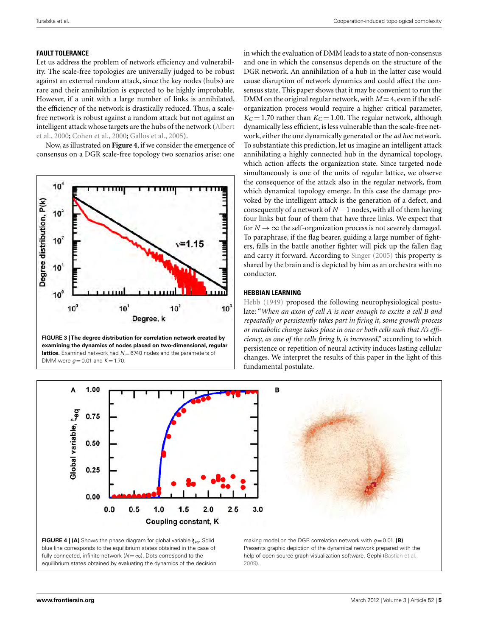# **FAULT TOLERANCE**

Let us address the problem of network efficiency and vulnerability. The scale-free topologies are universally judged to be robust against an external random attack, since the key nodes (hubs) are rare and their annihilation is expected to be highly improbable. However, if a unit with a large number of links is annihilated, the efficiency of the network is drastically reduced. Thus, a scalefree network is robust against a random attack but not against an intelligent attack whose targets are the hubs of the network (Albert et al., 2000; Cohen et al., 2000; Gallos et al., 2005).

Now, as illustrated on **Figure 4**, if we consider the emergence of consensus on a DGR scale-free topology two scenarios arise: one



**FIGURE 3 | The degree distribution for correlation network created by examining the dynamics of nodes placed on two-dimensional, regular lattice.** Examined network had  $N = 6740$  nodes and the parameters of DMM were  $g = 0.01$  and  $K = 1.70$ .

in which the evaluation of DMM leads to a state of non-consensus and one in which the consensus depends on the structure of the DGR network. An annihilation of a hub in the latter case would cause disruption of network dynamics and could affect the consensus state. This paper shows that it may be convenient to run the DMM on the original regular network, with  $M = 4$ , even if the selforganization process would require a higher critical parameter,  $K_C = 1.70$  rather than  $K_C = 1.00$ . The regular network, although dynamically less efficient, is less vulnerable than the scale-free network, either the one dynamically generated or the *ad hoc* network. To substantiate this prediction, let us imagine an intelligent attack annihilating a highly connected hub in the dynamical topology, which action affects the organization state. Since targeted node simultaneously is one of the units of regular lattice, we observe the consequence of the attack also in the regular network, from which dynamical topology emerge. In this case the damage provoked by the intelligent attack is the generation of a defect, and consequently of a network of *N* − 1 nodes, with all of them having four links but four of them that have three links. We expect that for  $N \rightarrow \infty$  the self-organization process is not severely damaged. To paraphrase, if the flag bearer, guiding a large number of fighters, falls in the battle another fighter will pick up the fallen flag and carry it forward. According to Singer (2005) this property is shared by the brain and is depicted by him as an orchestra with no conductor.

# **HEBBIAN LEARNING**

Hebb (1949) proposed the following neurophysiological postulate: "*When an axon of cell A is near enough to excite a cell B and repeatedly or persistently takes part in firing it, some growth process or metabolic change takes place in one or both cells such that A's efficiency, as one of the cells firing b, is increased*," according to which persistence or repetition of neural activity induces lasting cellular changes. We interpret the results of this paper in the light of this fundamental postulate.

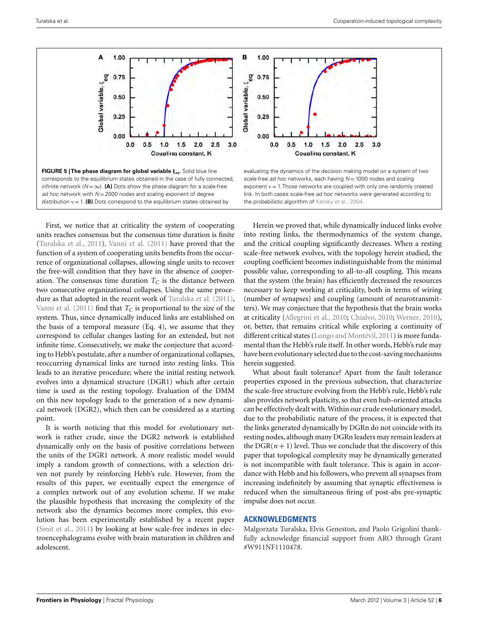

First, we notice that at criticality the system of cooperating units reaches consensus but the consensus time duration is finite (Turalska et al., 2011). Vanni et al. (2011) have proved that the function of a system of cooperating units benefits from the occurrence of organizational collapses, allowing single units to recover the free-will condition that they have in the absence of cooperation. The consensus time duration  $T_C$  is the distance between two consecutive organizational collapses. Using the same procedure as that adopted in the recent work of Turalska et al. (2011), Vanni et al.  $(2011)$  find that  $T_C$  is proportional to the size of the system. Thus, since dynamically induced links are established on the basis of a temporal measure (Eq. 4), we assume that they correspond to cellular changes lasting for an extended, but not infinite time. Consecutively, we make the conjecture that according to Hebb's postulate, after a number of organizational collapses, reoccurring dynamical links are turned into resting links. This leads to an iterative procedure; where the initial resting network evolves into a dynamical structure (DGR1) which after certain time is used as the resting topology. Evaluation of the DMM on this new topology leads to the generation of a new dynamical network (DGR2), which then can be considered as a starting point.

It is worth noticing that this model for evolutionary network is rather crude, since the DGR2 network is established dynamically only on the basis of positive correlations between the units of the DGR1 network. A more realistic model would imply a random growth of connections, with a selection driven not purely by reinforcing Hebb's rule. However, from the results of this paper, we eventually expect the emergence of a complex network out of any evolution scheme. If we make the plausible hypothesis that increasing the complexity of the network also the dynamics becomes more complex, this evolution has been experimentally established by a recent paper (Smit et al., 2011) by looking at how scale-free indexes in electroencephalograms evolve with brain maturation in children and adolescent.

Herein we proved that, while dynamically induced links evolve into resting links, the thermodynamics of the system change, and the critical coupling significantly decreases. When a resting scale-free network evolves, with the topology herein studied, the coupling coefficient becomes indistinguishable from the minimal possible value, corresponding to all-to-all coupling. This means that the system (the brain) has efficiently decreased the resources necessary to keep working at criticality, both in terms of wiring (number of synapses) and coupling (amount of neurotransmitters). We may conjecture that the hypothesis that the brain works at criticality (Allegrini et al., 2010; Chialvo, 2010; Werner, 2010), or, better, that remains critical while exploring a continuity of different critical states (Longo and Montévil, 2011) is more fundamental than the Hebb's rule itself. In other words, Hebb's rule may have been evolutionary selected due to the cost-saving mechanisms herein suggested.

What about fault tolerance? Apart from the fault tolerance properties exposed in the previous subsection, that characterize the scale-free structure evolving from the Hebb's rule, Hebb's rule also provides network plasticity, so that even hub-oriented attacks can be effectively dealt with.Within our crude evolutionary model, due to the probabilistic nature of the process, it is expected that the links generated dynamically by DGRn do not coincide with its resting nodes, although many DGRn leaders may remain leaders at the  $DGR(n+1)$  level. Thus we conclude that the discovery of this paper that topological complexity may be dynamically generated is not incompatible with fault tolerance. This is again in accordance with Hebb and his followers, who prevent all synapses from increasing indefinitely by assuming that synaptic effectiveness is reduced when the simultaneous firing of post-abs pre-synaptic impulse does not occur.

#### **ACKNOWLEDGMENTS**

Malgorzata Turalska, Elvis Geneston, and Paolo Grigolini thankfully acknowledge financial support from ARO through Grant #W911NF1110478.